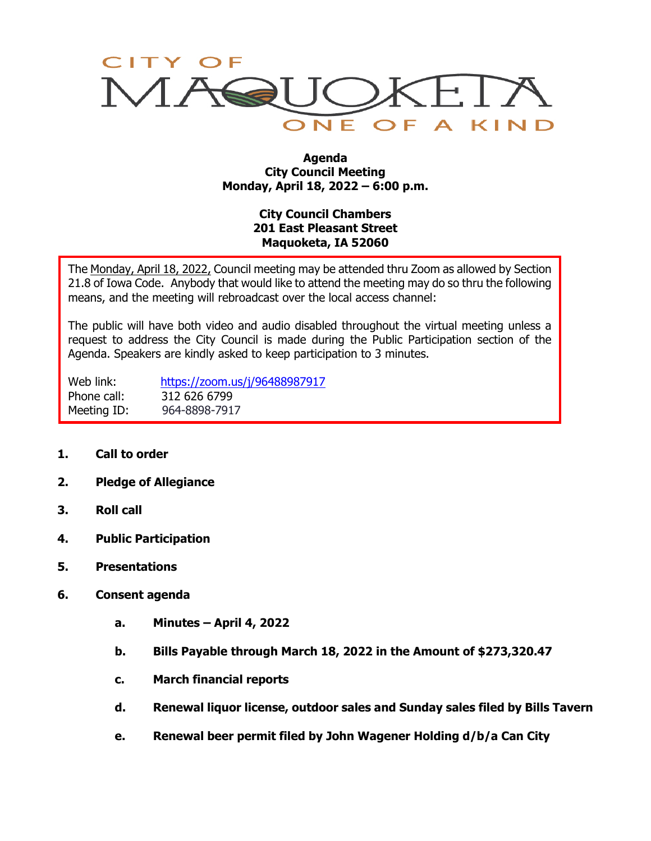

#### **Agenda City Council Meeting Monday, April 18, 2022 – 6:00 p.m.**

# **City Council Chambers 201 East Pleasant Street Maquoketa, IA 52060**

The Monday, April 18, 2022, Council meeting may be attended thru Zoom as allowed by Section 21.8 of Iowa Code. Anybody that would like to attend the meeting may do so thru the following means, and the meeting will rebroadcast over the local access channel:

The public will have both video and audio disabled throughout the virtual meeting unless a request to address the City Council is made during the Public Participation section of the Agenda. Speakers are kindly asked to keep participation to 3 minutes.

Web link: <https://zoom.us/j/96488987917> Phone call: 312 626 6799 Meeting ID: 964-8898-7917

- **1. Call to order**
- **2. Pledge of Allegiance**
- **3. Roll call**
- **4. Public Participation**
- **5. Presentations**
- **6. Consent agenda**
	- **a. Minutes – April 4, 2022**
	- **b. Bills Payable through March 18, 2022 in the Amount of \$273,320.47**
	- **c. March financial reports**
	- **d. Renewal liquor license, outdoor sales and Sunday sales filed by Bills Tavern**
	- **e. Renewal beer permit filed by John Wagener Holding d/b/a Can City**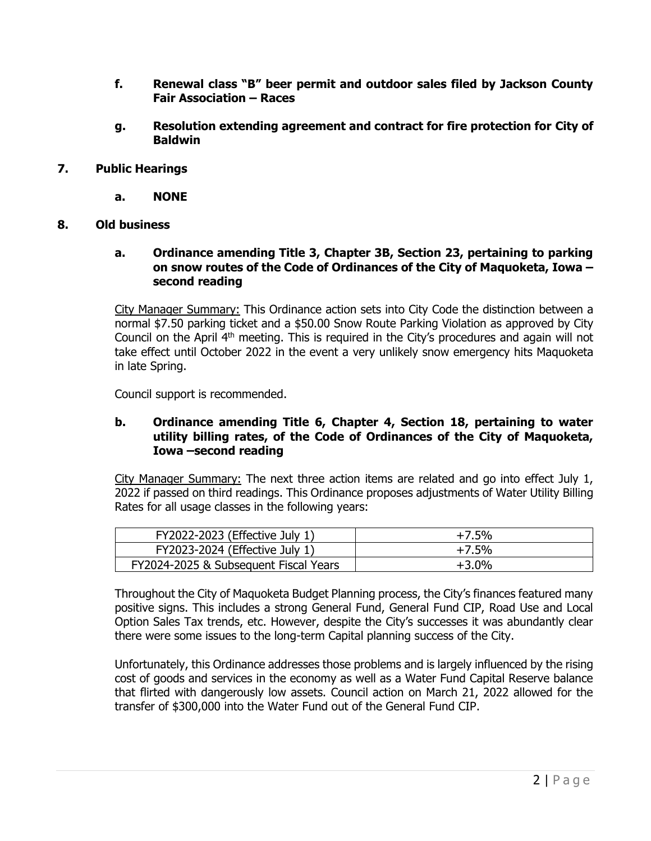- **f. Renewal class "B" beer permit and outdoor sales filed by Jackson County Fair Association – Races**
- **g. Resolution extending agreement and contract for fire protection for City of Baldwin**
- **7. Public Hearings**
	- **a. NONE**
- **8. Old business**
	- **a. Ordinance amending Title 3, Chapter 3B, Section 23, pertaining to parking on snow routes of the Code of Ordinances of the City of Maquoketa, Iowa – second reading**

City Manager Summary: This Ordinance action sets into City Code the distinction between a normal \$7.50 parking ticket and a \$50.00 Snow Route Parking Violation as approved by City Council on the April 4<sup>th</sup> meeting. This is required in the City's procedures and again will not take effect until October 2022 in the event a very unlikely snow emergency hits Maquoketa in late Spring.

Council support is recommended.

### **b. Ordinance amending Title 6, Chapter 4, Section 18, pertaining to water utility billing rates, of the Code of Ordinances of the City of Maquoketa, Iowa –second reading**

City Manager Summary: The next three action items are related and go into effect July 1, 2022 if passed on third readings. This Ordinance proposes adjustments of Water Utility Billing Rates for all usage classes in the following years:

| FY2022-2023 (Effective July 1)        | +7.5%   |
|---------------------------------------|---------|
| FY2023-2024 (Effective July 1)        | +7.5%   |
| FY2024-2025 & Subsequent Fiscal Years | $+3.0%$ |

Throughout the City of Maquoketa Budget Planning process, the City's finances featured many positive signs. This includes a strong General Fund, General Fund CIP, Road Use and Local Option Sales Tax trends, etc. However, despite the City's successes it was abundantly clear there were some issues to the long-term Capital planning success of the City.

Unfortunately, this Ordinance addresses those problems and is largely influenced by the rising cost of goods and services in the economy as well as a Water Fund Capital Reserve balance that flirted with dangerously low assets. Council action on March 21, 2022 allowed for the transfer of \$300,000 into the Water Fund out of the General Fund CIP.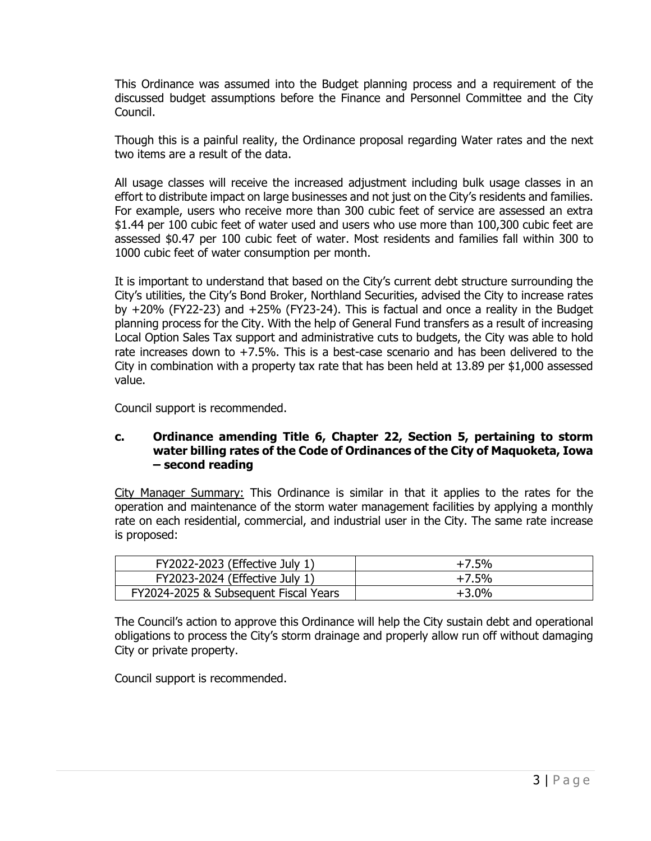This Ordinance was assumed into the Budget planning process and a requirement of the discussed budget assumptions before the Finance and Personnel Committee and the City Council.

Though this is a painful reality, the Ordinance proposal regarding Water rates and the next two items are a result of the data.

All usage classes will receive the increased adjustment including bulk usage classes in an effort to distribute impact on large businesses and not just on the City's residents and families. For example, users who receive more than 300 cubic feet of service are assessed an extra \$1.44 per 100 cubic feet of water used and users who use more than 100,300 cubic feet are assessed \$0.47 per 100 cubic feet of water. Most residents and families fall within 300 to 1000 cubic feet of water consumption per month.

It is important to understand that based on the City's current debt structure surrounding the City's utilities, the City's Bond Broker, Northland Securities, advised the City to increase rates by +20% (FY22-23) and +25% (FY23-24). This is factual and once a reality in the Budget planning process for the City. With the help of General Fund transfers as a result of increasing Local Option Sales Tax support and administrative cuts to budgets, the City was able to hold rate increases down to +7.5%. This is a best-case scenario and has been delivered to the City in combination with a property tax rate that has been held at 13.89 per \$1,000 assessed value.

Council support is recommended.

## **c. Ordinance amending Title 6, Chapter 22, Section 5, pertaining to storm water billing rates of the Code of Ordinances of the City of Maquoketa, Iowa – second reading**

City Manager Summary: This Ordinance is similar in that it applies to the rates for the operation and maintenance of the storm water management facilities by applying a monthly rate on each residential, commercial, and industrial user in the City. The same rate increase is proposed:

| FY2022-2023 (Effective July 1)        | $+7.5%$ |
|---------------------------------------|---------|
| FY2023-2024 (Effective July 1)        | $+7.5%$ |
| FY2024-2025 & Subsequent Fiscal Years | $+3.0%$ |

The Council's action to approve this Ordinance will help the City sustain debt and operational obligations to process the City's storm drainage and properly allow run off without damaging City or private property.

Council support is recommended.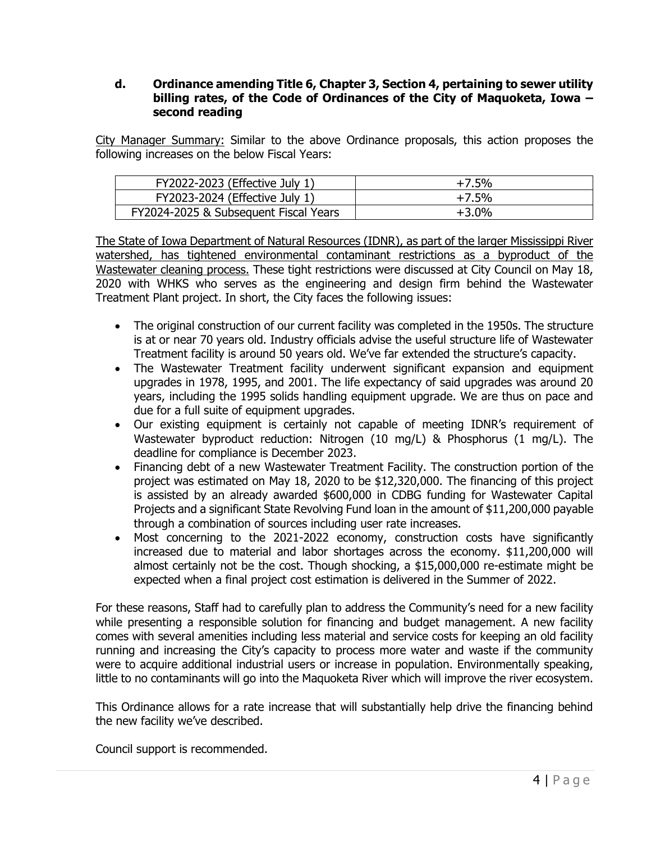#### **d. Ordinance amending Title 6, Chapter 3, Section 4, pertaining to sewer utility billing rates, of the Code of Ordinances of the City of Maquoketa, Iowa – second reading**

City Manager Summary: Similar to the above Ordinance proposals, this action proposes the following increases on the below Fiscal Years:

| FY2022-2023 (Effective July 1)        | $+7.5%$ |
|---------------------------------------|---------|
| FY2023-2024 (Effective July 1)        | $+7.5%$ |
| FY2024-2025 & Subsequent Fiscal Years | $+3.0%$ |

The State of Iowa Department of Natural Resources (IDNR), as part of the larger Mississippi River watershed, has tightened environmental contaminant restrictions as a byproduct of the Wastewater cleaning process. These tight restrictions were discussed at City Council on May 18, 2020 with WHKS who serves as the engineering and design firm behind the Wastewater Treatment Plant project. In short, the City faces the following issues:

- The original construction of our current facility was completed in the 1950s. The structure is at or near 70 years old. Industry officials advise the useful structure life of Wastewater Treatment facility is around 50 years old. We've far extended the structure's capacity.
- The Wastewater Treatment facility underwent significant expansion and equipment upgrades in 1978, 1995, and 2001. The life expectancy of said upgrades was around 20 years, including the 1995 solids handling equipment upgrade. We are thus on pace and due for a full suite of equipment upgrades.
- Our existing equipment is certainly not capable of meeting IDNR's requirement of Wastewater byproduct reduction: Nitrogen (10 mg/L) & Phosphorus (1 mg/L). The deadline for compliance is December 2023.
- Financing debt of a new Wastewater Treatment Facility. The construction portion of the project was estimated on May 18, 2020 to be \$12,320,000. The financing of this project is assisted by an already awarded \$600,000 in CDBG funding for Wastewater Capital Projects and a significant State Revolving Fund loan in the amount of \$11,200,000 payable through a combination of sources including user rate increases.
- Most concerning to the 2021-2022 economy, construction costs have significantly increased due to material and labor shortages across the economy. \$11,200,000 will almost certainly not be the cost. Though shocking, a \$15,000,000 re-estimate might be expected when a final project cost estimation is delivered in the Summer of 2022.

For these reasons, Staff had to carefully plan to address the Community's need for a new facility while presenting a responsible solution for financing and budget management. A new facility comes with several amenities including less material and service costs for keeping an old facility running and increasing the City's capacity to process more water and waste if the community were to acquire additional industrial users or increase in population. Environmentally speaking, little to no contaminants will go into the Maquoketa River which will improve the river ecosystem.

This Ordinance allows for a rate increase that will substantially help drive the financing behind the new facility we've described.

Council support is recommended.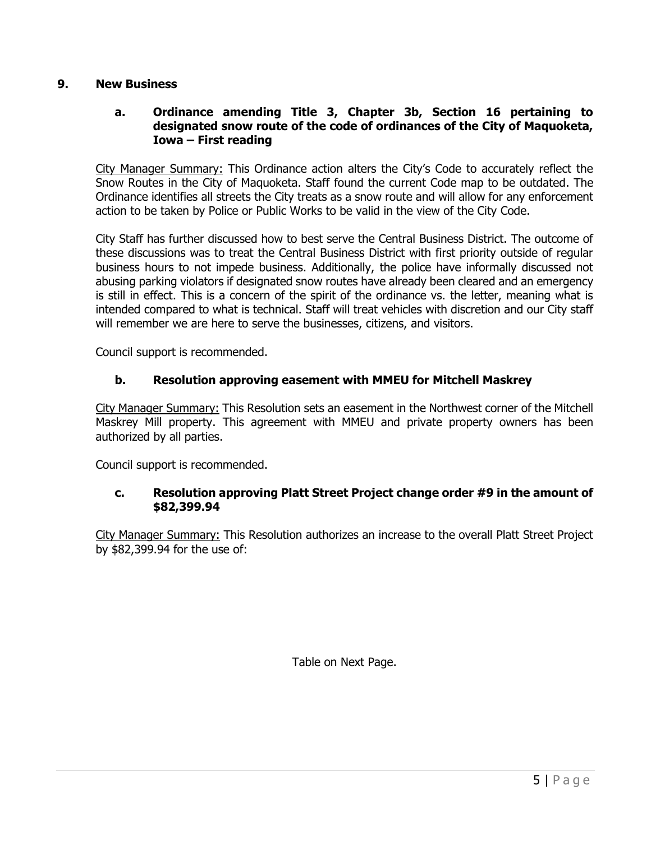## **9. New Business**

## **a. Ordinance amending Title 3, Chapter 3b, Section 16 pertaining to designated snow route of the code of ordinances of the City of Maquoketa, Iowa – First reading**

City Manager Summary: This Ordinance action alters the City's Code to accurately reflect the Snow Routes in the City of Maquoketa. Staff found the current Code map to be outdated. The Ordinance identifies all streets the City treats as a snow route and will allow for any enforcement action to be taken by Police or Public Works to be valid in the view of the City Code.

City Staff has further discussed how to best serve the Central Business District. The outcome of these discussions was to treat the Central Business District with first priority outside of regular business hours to not impede business. Additionally, the police have informally discussed not abusing parking violators if designated snow routes have already been cleared and an emergency is still in effect. This is a concern of the spirit of the ordinance vs. the letter, meaning what is intended compared to what is technical. Staff will treat vehicles with discretion and our City staff will remember we are here to serve the businesses, citizens, and visitors.

Council support is recommended.

## **b. Resolution approving easement with MMEU for Mitchell Maskrey**

City Manager Summary: This Resolution sets an easement in the Northwest corner of the Mitchell Maskrey Mill property. This agreement with MMEU and private property owners has been authorized by all parties.

Council support is recommended.

#### **c. Resolution approving Platt Street Project change order #9 in the amount of \$82,399.94**

City Manager Summary: This Resolution authorizes an increase to the overall Platt Street Project by \$82,399.94 for the use of:

Table on Next Page.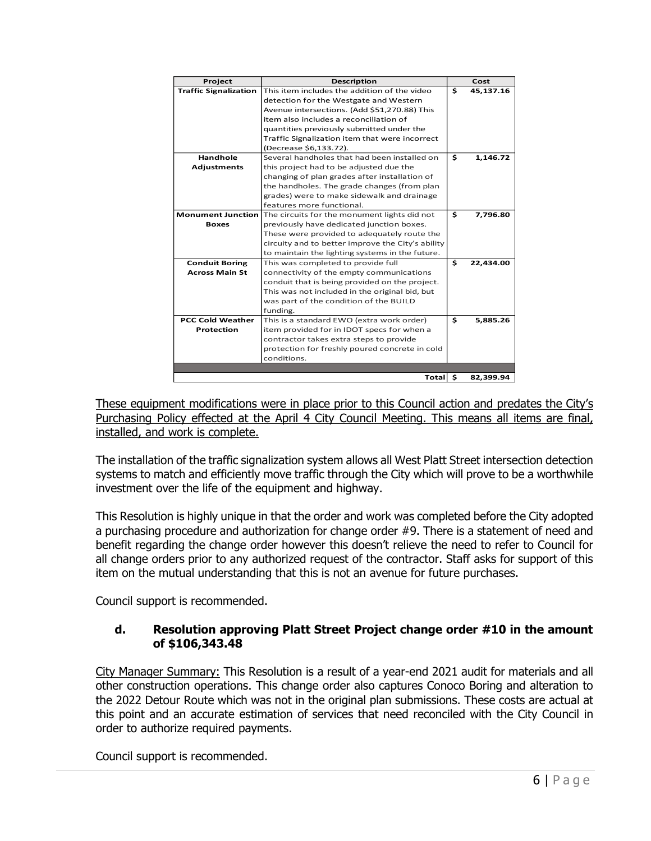| Project                      | <b>Description</b>                                                    |    | Cost      |  |
|------------------------------|-----------------------------------------------------------------------|----|-----------|--|
| <b>Traffic Signalization</b> | This item includes the addition of the video                          | \$ | 45,137.16 |  |
|                              | detection for the Westgate and Western                                |    |           |  |
|                              | Avenue intersections. (Add \$51,270.88) This                          |    |           |  |
|                              | item also includes a reconciliation of                                |    |           |  |
|                              | quantities previously submitted under the                             |    |           |  |
|                              | Traffic Signalization item that were incorrect                        |    |           |  |
|                              | (Decrease \$6,133.72).                                                |    |           |  |
| Handhole                     | Several handholes that had been installed on                          | \$ | 1.146.72  |  |
| <b>Adjustments</b>           | this project had to be adjusted due the                               |    |           |  |
|                              | changing of plan grades after installation of                         |    |           |  |
|                              | the handholes. The grade changes (from plan                           |    |           |  |
|                              | grades) were to make sidewalk and drainage                            |    |           |  |
|                              | features more functional.                                             |    |           |  |
|                              | <b>Monument Junction</b> The circuits for the monument lights did not | \$ | 7,796.80  |  |
| <b>Boxes</b>                 | previously have dedicated junction boxes.                             |    |           |  |
|                              | These were provided to adequately route the                           |    |           |  |
|                              | circuity and to better improve the City's ability                     |    |           |  |
|                              | to maintain the lighting systems in the future.                       |    |           |  |
| <b>Conduit Boring</b>        | This was completed to provide full                                    | \$ | 22,434.00 |  |
| <b>Across Main St</b>        | connectivity of the empty communications                              |    |           |  |
|                              | conduit that is being provided on the project.                        |    |           |  |
|                              | This was not included in the original bid, but                        |    |           |  |
|                              | was part of the condition of the BUILD                                |    |           |  |
|                              | funding.                                                              |    |           |  |
| <b>PCC Cold Weather</b>      | This is a standard EWO (extra work order)                             | \$ | 5,885.26  |  |
| <b>Protection</b>            | item provided for in IDOT specs for when a                            |    |           |  |
|                              | contractor takes extra steps to provide                               |    |           |  |
|                              | protection for freshly poured concrete in cold                        |    |           |  |
|                              | conditions.                                                           |    |           |  |
|                              |                                                                       |    |           |  |
|                              | Total S                                                               |    | 82,399.94 |  |

These equipment modifications were in place prior to this Council action and predates the City's Purchasing Policy effected at the April 4 City Council Meeting. This means all items are final, installed, and work is complete.

The installation of the traffic signalization system allows all West Platt Street intersection detection systems to match and efficiently move traffic through the City which will prove to be a worthwhile investment over the life of the equipment and highway.

This Resolution is highly unique in that the order and work was completed before the City adopted a purchasing procedure and authorization for change order #9. There is a statement of need and benefit regarding the change order however this doesn't relieve the need to refer to Council for all change orders prior to any authorized request of the contractor. Staff asks for support of this item on the mutual understanding that this is not an avenue for future purchases.

Council support is recommended.

# **d. Resolution approving Platt Street Project change order #10 in the amount of \$106,343.48**

City Manager Summary: This Resolution is a result of a year-end 2021 audit for materials and all other construction operations. This change order also captures Conoco Boring and alteration to the 2022 Detour Route which was not in the original plan submissions. These costs are actual at this point and an accurate estimation of services that need reconciled with the City Council in order to authorize required payments.

Council support is recommended.